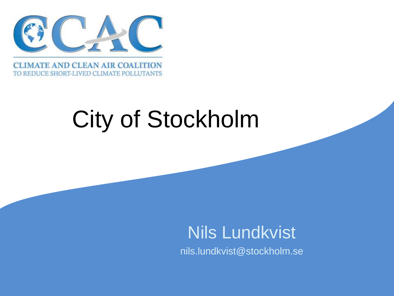

TO REDUCE SHORT-LIVED CLIMATE POLLUTANTS

# City of Stockholm

 Nils Lundkvist nils.lundkvist@stockholm.se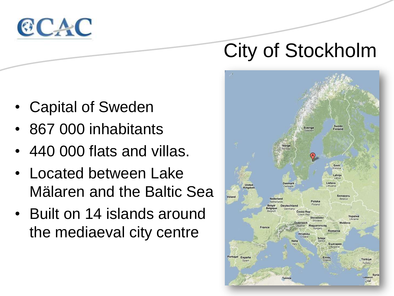

## City of Stockholm



- Capital of Sweden
- 867 000 inhabitants
- 440 000 flats and villas.
- Located between Lake Mälaren and the Baltic Sea
- Built on 14 islands around the mediaeval city centre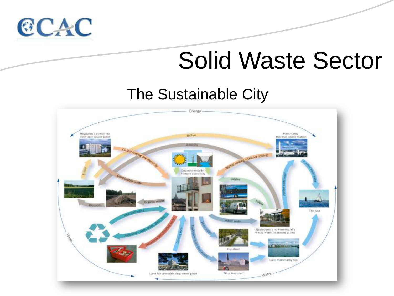

## Solid Waste Sector

### The Sustainable City

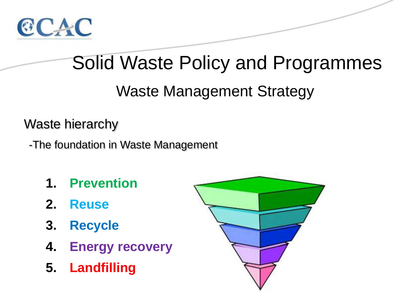

## Solid Waste Policy and Programmes

Waste Management Strategy

Waste hierarchy

-The foundation in Waste Management

- **1. Prevention**
- **2. Reuse**
- **3. Recycle**
- **4. Energy recovery**
- **5. Landfilling**

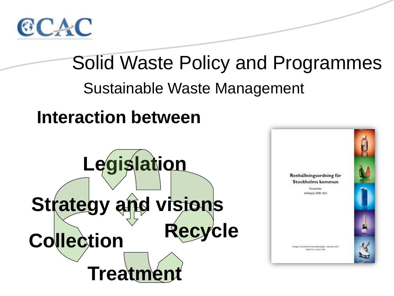

## Solid Waste Policy and Programmes Sustainable Waste Management **Interaction between Legislation** Renhällningsordning för Stockholms kommun **Englisher** Artshplan 2008-2012 **Strategy and visions Recycle Collection** ugar ar Stockhima Kummartámákogi 11 december 2001 Caler-from 11amont 2004 **Treatmen**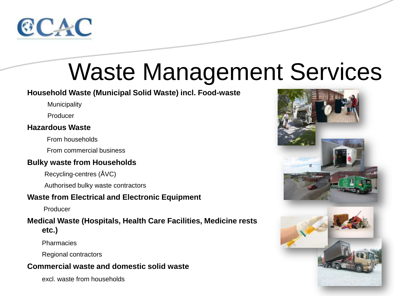

#### **Household Waste (Municipal Solid Waste) incl. Food-waste**

**Municipality** 

Producer

#### **Hazardous Waste**

From households

From commercial business

#### **Bulky waste from Households**

Recycling-centres (ÅVC)

Authorised bulky waste contractors

#### **Waste from Electrical and Electronic Equipment**

Producer

#### **Medical Waste (Hospitals, Health Care Facilities, Medicine rests etc.)**

**Pharmacies** 

Regional contractors

#### **Commercial waste and domestic solid waste**

excl. waste from households

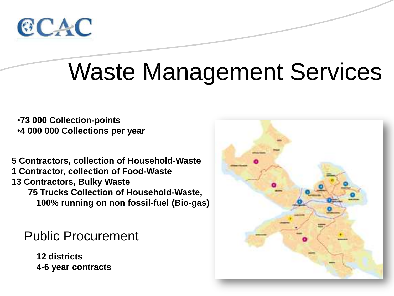

•**73 000 Collection-points** •**4 000 000 Collections per year**

**5 Contractors, collection of Household-Waste 1 Contractor, collection of Food-Waste 13 Contractors, Bulky Waste 75 Trucks Collection of Household-Waste, 100% running on non fossil-fuel (Bio-gas)**

Public Procurement

**12 districts 4-6 year contracts**

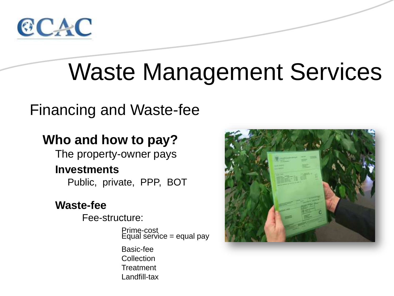

### Financing and Waste-fee

### **Who and how to pay?**

The property-owner pays

#### **Investments**

Public, private, PPP, BOT

### **Waste-fee**

Fee-structure:

Prime-cost Equal service = equal pay

Basic-fee Collection **Treatment** Landfill-tax

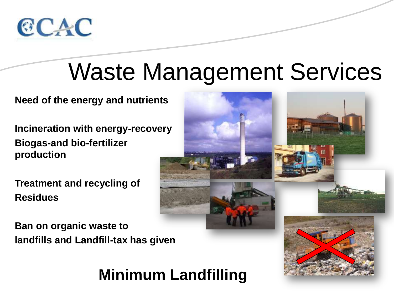

**Need of the energy and nutrients**

**Incineration with energy-recovery Biogas-and bio-fertilizer production**

**Treatment and recycling of Residues**

**Ban on organic waste to landfills and Landfill-tax has given**

## **Minimum Landfilling**

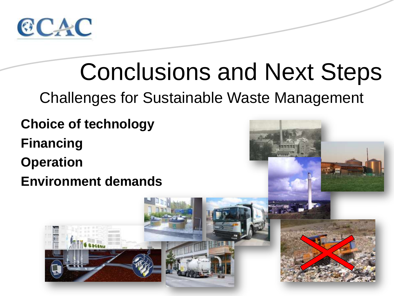

## Challenges for Sustainable Waste Management **Choice of technology Financing Operation Environment demands** Conclusions and Next Steps